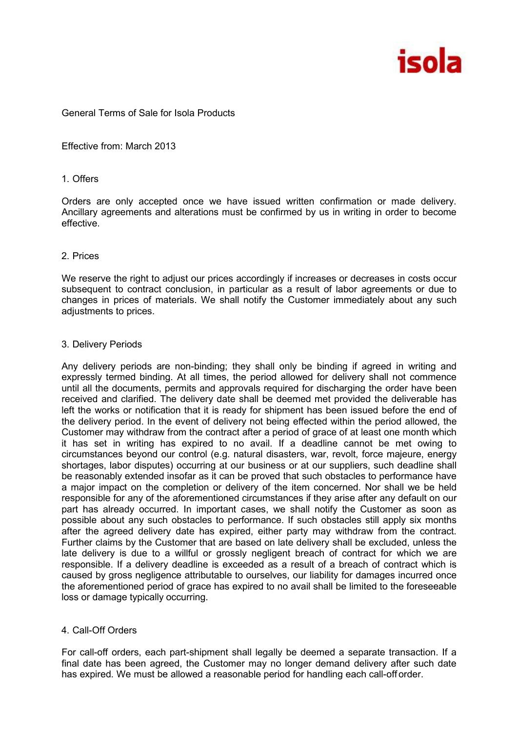

## General Terms of Sale for Isola Products

Effective from: March 2013

### 1. Offers

Orders are only accepted once we have issued written confirmation or made delivery. Ancillary agreements and alterations must be confirmed by us in writing in order to become effective.

## 2. Prices

We reserve the right to adjust our prices accordingly if increases or decreases in costs occur subsequent to contract conclusion, in particular as a result of labor agreements or due to changes in prices of materials. We shall notify the Customer immediately about any such adjustments to prices.

## 3. Delivery Periods

Any delivery periods are non-binding; they shall only be binding if agreed in writing and expressly termed binding. At all times, the period allowed for delivery shall not commence until all the documents, permits and approvals required for discharging the order have been received and clarified. The delivery date shall be deemed met provided the deliverable has left the works or notification that it is ready for shipment has been issued before the end of the delivery period. In the event of delivery not being effected within the period allowed, the Customer may withdraw from the contract after a period of grace of at least one month which it has set in writing has expired to no avail. If a deadline cannot be met owing to circumstances beyond our control (e.g. natural disasters, war, revolt, force majeure, energy shortages, labor disputes) occurring at our business or at our suppliers, such deadline shall be reasonably extended insofar as it can be proved that such obstacles to performance have a major impact on the completion or delivery of the item concerned. Nor shall we be held responsible for any of the aforementioned circumstances if they arise after any default on our part has already occurred. In important cases, we shall notify the Customer as soon as possible about any such obstacles to performance. If such obstacles still apply six months after the agreed delivery date has expired, either party may withdraw from the contract. Further claims by the Customer that are based on late delivery shall be excluded, unless the late delivery is due to a willful or grossly negligent breach of contract for which we are responsible. If a delivery deadline is exceeded as a result of a breach of contract which is caused by gross negligence attributable to ourselves, our liability for damages incurred once the aforementioned period of grace has expired to no avail shall be limited to the foreseeable loss or damage typically occurring.

# 4. Call-Off Orders

For call-off orders, each part-shipment shall legally be deemed a separate transaction. If a final date has been agreed, the Customer may no longer demand delivery after such date has expired. We must be allowed a reasonable period for handling each call-off order.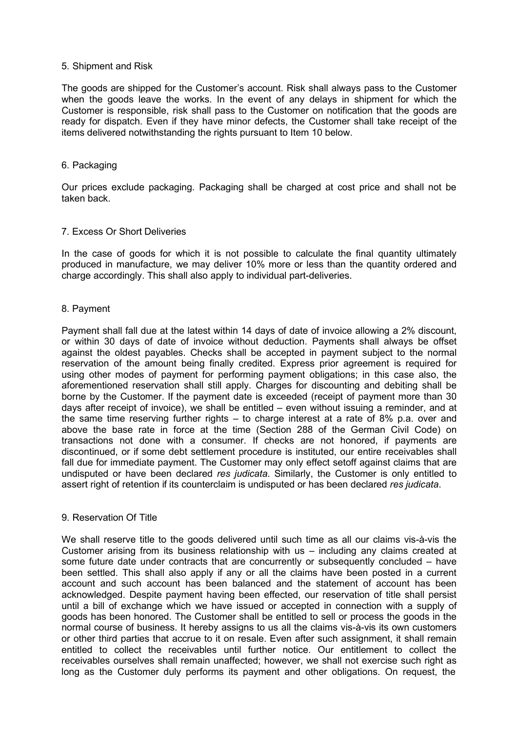### 5. Shipment and Risk

The goods are shipped for the Customer's account. Risk shall always pass to the Customer when the goods leave the works. In the event of any delays in shipment for which the Customer is responsible, risk shall pass to the Customer on notification that the goods are ready for dispatch. Even if they have minor defects, the Customer shall take receipt of the items delivered notwithstanding the rights pursuant to Item 10 below.

#### 6. Packaging

Our prices exclude packaging. Packaging shall be charged at cost price and shall not be taken back.

### 7. Excess Or Short Deliveries

In the case of goods for which it is not possible to calculate the final quantity ultimately produced in manufacture, we may deliver 10% more or less than the quantity ordered and charge accordingly. This shall also apply to individual part-deliveries.

#### 8. Payment

Payment shall fall due at the latest within 14 days of date of invoice allowing a 2% discount, or within 30 days of date of invoice without deduction. Payments shall always be offset against the oldest payables. Checks shall be accepted in payment subject to the normal reservation of the amount being finally credited. Express prior agreement is required for using other modes of payment for performing payment obligations; in this case also, the aforementioned reservation shall still apply. Charges for discounting and debiting shall be borne by the Customer. If the payment date is exceeded (receipt of payment more than 30 days after receipt of invoice), we shall be entitled – even without issuing a reminder, and at the same time reserving further rights – to charge interest at a rate of 8% p.a. over and above the base rate in force at the time (Section 288 of the German Civil Code) on transactions not done with a consumer. If checks are not honored, if payments are discontinued, or if some debt settlement procedure is instituted, our entire receivables shall fall due for immediate payment. The Customer may only effect setoff against claims that are undisputed or have been declared *res judicata*. Similarly, the Customer is only entitled to assert right of retention if its counterclaim is undisputed or has been declared *res judicata*.

### 9. Reservation Of Title

We shall reserve title to the goods delivered until such time as all our claims vis-à-vis the Customer arising from its business relationship with us – including any claims created at some future date under contracts that are concurrently or subsequently concluded – have been settled. This shall also apply if any or all the claims have been posted in a current account and such account has been balanced and the statement of account has been acknowledged. Despite payment having been effected, our reservation of title shall persist until a bill of exchange which we have issued or accepted in connection with a supply of goods has been honored. The Customer shall be entitled to sell or process the goods in the normal course of business. It hereby assigns to us all the claims vis-à-vis its own customers or other third parties that accrue to it on resale. Even after such assignment, it shall remain entitled to collect the receivables until further notice. Our entitlement to collect the receivables ourselves shall remain unaffected; however, we shall not exercise such right as long as the Customer duly performs its payment and other obligations. On request, the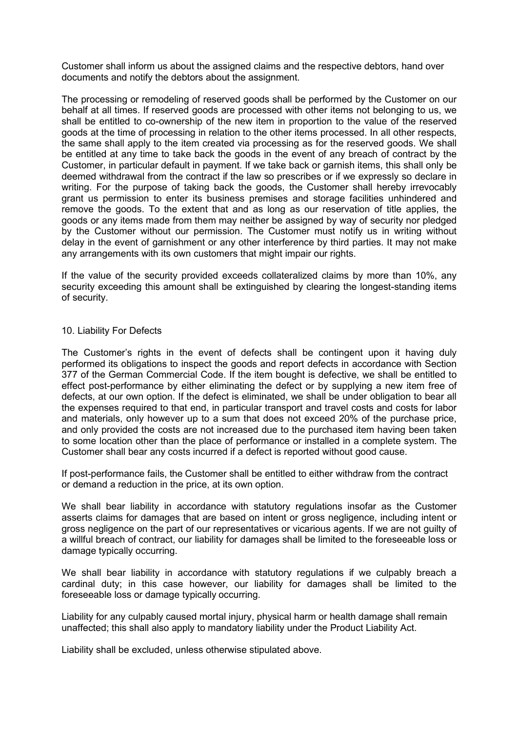Customer shall inform us about the assigned claims and the respective debtors, hand over documents and notify the debtors about the assignment.

The processing or remodeling of reserved goods shall be performed by the Customer on our behalf at all times. If reserved goods are processed with other items not belonging to us, we shall be entitled to co-ownership of the new item in proportion to the value of the reserved goods at the time of processing in relation to the other items processed. In all other respects, the same shall apply to the item created via processing as for the reserved goods. We shall be entitled at any time to take back the goods in the event of any breach of contract by the Customer, in particular default in payment. If we take back or garnish items, this shall only be deemed withdrawal from the contract if the law so prescribes or if we expressly so declare in writing. For the purpose of taking back the goods, the Customer shall hereby irrevocably grant us permission to enter its business premises and storage facilities unhindered and remove the goods. To the extent that and as long as our reservation of title applies, the goods or any items made from them may neither be assigned by way of security nor pledged by the Customer without our permission. The Customer must notify us in writing without delay in the event of garnishment or any other interference by third parties. It may not make any arrangements with its own customers that might impair our rights.

If the value of the security provided exceeds collateralized claims by more than 10%, any security exceeding this amount shall be extinguished by clearing the longest-standing items of security.

### 10. Liability For Defects

The Customer's rights in the event of defects shall be contingent upon it having duly performed its obligations to inspect the goods and report defects in accordance with Section 377 of the German Commercial Code. If the item bought is defective, we shall be entitled to effect post-performance by either eliminating the defect or by supplying a new item free of defects, at our own option. If the defect is eliminated, we shall be under obligation to bear all the expenses required to that end, in particular transport and travel costs and costs for labor and materials, only however up to a sum that does not exceed 20% of the purchase price, and only provided the costs are not increased due to the purchased item having been taken to some location other than the place of performance or installed in a complete system. The Customer shall bear any costs incurred if a defect is reported without good cause.

If post-performance fails, the Customer shall be entitled to either withdraw from the contract or demand a reduction in the price, at its own option.

We shall bear liability in accordance with statutory regulations insofar as the Customer asserts claims for damages that are based on intent or gross negligence, including intent or gross negligence on the part of our representatives or vicarious agents. If we are not guilty of a willful breach of contract, our liability for damages shall be limited to the foreseeable loss or damage typically occurring.

We shall bear liability in accordance with statutory regulations if we culpably breach a cardinal duty; in this case however, our liability for damages shall be limited to the foreseeable loss or damage typically occurring.

Liability for any culpably caused mortal injury, physical harm or health damage shall remain unaffected; this shall also apply to mandatory liability under the Product Liability Act.

Liability shall be excluded, unless otherwise stipulated above.